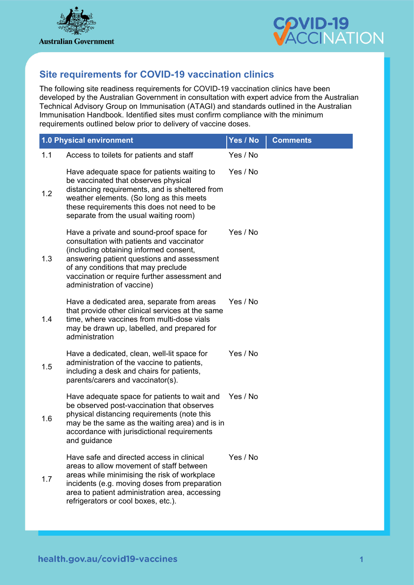



## **Site requirements for COVID-19 vaccination clinics**

The following site readiness requirements for COVID-19 vaccination clinics have been developed by the Australian Government in consultation with expert advice from the Australian Technical Advisory Group on Immunisation (ATAGI) and standards outlined in the Australian Immunisation Handbook. Identified sites must confirm compliance with the minimum requirements outlined below prior to delivery of vaccine doses.

|     | 1.0 Physical environment                                                                                                                                                                                                                                                                            | Yes / No | <b>Comments</b> |
|-----|-----------------------------------------------------------------------------------------------------------------------------------------------------------------------------------------------------------------------------------------------------------------------------------------------------|----------|-----------------|
| 1.1 | Access to toilets for patients and staff                                                                                                                                                                                                                                                            | Yes / No |                 |
| 1.2 | Have adequate space for patients waiting to<br>be vaccinated that observes physical<br>distancing requirements, and is sheltered from<br>weather elements. (So long as this meets<br>these requirements this does not need to be<br>separate from the usual waiting room)                           | Yes / No |                 |
| 1.3 | Have a private and sound-proof space for<br>consultation with patients and vaccinator<br>(including obtaining informed consent,<br>answering patient questions and assessment<br>of any conditions that may preclude<br>vaccination or require further assessment and<br>administration of vaccine) | Yes / No |                 |
| 1.4 | Have a dedicated area, separate from areas<br>that provide other clinical services at the same<br>time, where vaccines from multi-dose vials<br>may be drawn up, labelled, and prepared for<br>administration                                                                                       | Yes / No |                 |
| 1.5 | Have a dedicated, clean, well-lit space for<br>administration of the vaccine to patients,<br>including a desk and chairs for patients,<br>parents/carers and vaccinator(s).                                                                                                                         | Yes / No |                 |
| 1.6 | Have adequate space for patients to wait and<br>be observed post-vaccination that observes<br>physical distancing requirements (note this<br>may be the same as the waiting area) and is in<br>accordance with jurisdictional requirements<br>and guidance                                          | Yes / No |                 |
| 1.7 | Have safe and directed access in clinical<br>areas to allow movement of staff between<br>areas while minimising the risk of workplace<br>incidents (e.g. moving doses from preparation<br>area to patient administration area, accessing<br>refrigerators or cool boxes, etc.).                     | Yes / No |                 |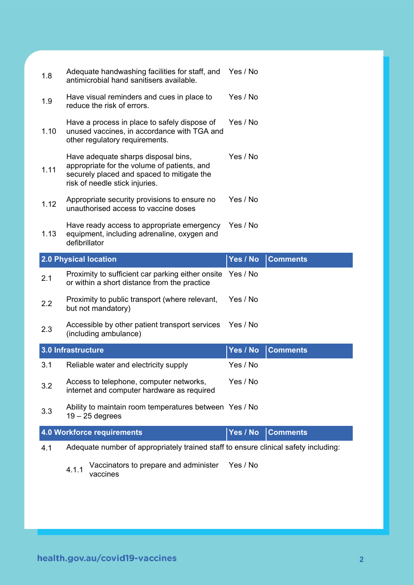| 1.8  | Adequate handwashing facilities for staff, and<br>antimicrobial hand sanitisers available.                                                                         | Yes / No |                 |
|------|--------------------------------------------------------------------------------------------------------------------------------------------------------------------|----------|-----------------|
| 1.9  | Have visual reminders and cues in place to<br>reduce the risk of errors.                                                                                           | Yes / No |                 |
| 1.10 | Have a process in place to safely dispose of<br>unused vaccines, in accordance with TGA and<br>other regulatory requirements.                                      | Yes / No |                 |
| 1.11 | Have adequate sharps disposal bins,<br>appropriate for the volume of patients, and<br>securely placed and spaced to mitigate the<br>risk of needle stick injuries. | Yes / No |                 |
| 1.12 | Appropriate security provisions to ensure no<br>unauthorised access to vaccine doses                                                                               | Yes / No |                 |
| 1.13 | Have ready access to appropriate emergency<br>equipment, including adrenaline, oxygen and<br>defibrillator                                                         | Yes / No |                 |
|      | <b>2.0 Physical location</b>                                                                                                                                       | Yes / No | <b>Comments</b> |
|      |                                                                                                                                                                    |          |                 |
| 2.1  | Proximity to sufficient car parking either onsite<br>or within a short distance from the practice                                                                  | Yes / No |                 |
| 2.2  | Proximity to public transport (where relevant,<br>but not mandatory)                                                                                               | Yes / No |                 |
| 2.3  | Accessible by other patient transport services<br>(including ambulance)                                                                                            | Yes / No |                 |
|      | 3.0 Infrastructure                                                                                                                                                 | Yes / No | <b>Comments</b> |
| 3.1  | Reliable water and electricity supply                                                                                                                              | Yes / No |                 |
| 3.2  | Access to telephone, computer networks,<br>internet and computer hardware as required                                                                              | Yes / No |                 |
| 3.3  | Ability to maintain room temperatures between Yes / No<br>$19 - 25$ degrees                                                                                        |          |                 |
|      | 4.0 Workforce requirements                                                                                                                                         | Yes / No | <b>Comments</b> |
| 4.1  | Adequate number of appropriately trained staff to ensure clinical safety including:                                                                                |          |                 |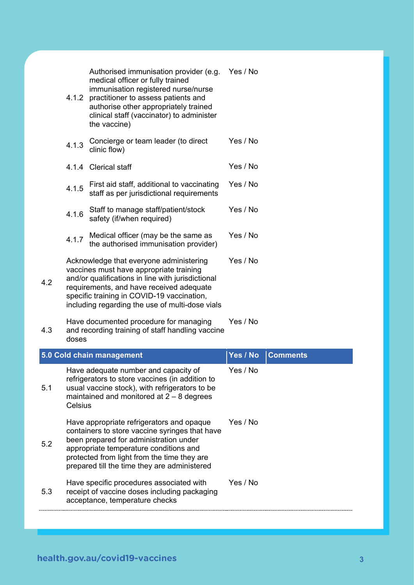|                | Authorised immunisation provider (e.g.                                                                                                                                                                                                                                               | Yes / No |                 |
|----------------|--------------------------------------------------------------------------------------------------------------------------------------------------------------------------------------------------------------------------------------------------------------------------------------|----------|-----------------|
| 4.1.2          | medical officer or fully trained<br>immunisation registered nurse/nurse<br>practitioner to assess patients and<br>authorise other appropriately trained<br>clinical staff (vaccinator) to administer<br>the vaccine)                                                                 |          |                 |
| 4.1.3          | Concierge or team leader (to direct<br>clinic flow)                                                                                                                                                                                                                                  | Yes / No |                 |
|                | 4.1.4 Clerical staff                                                                                                                                                                                                                                                                 | Yes / No |                 |
| 4.1.5          | First aid staff, additional to vaccinating<br>staff as per jurisdictional requirements                                                                                                                                                                                               | Yes / No |                 |
| 4.1.6          | Staff to manage staff/patient/stock<br>safety (if/when required)                                                                                                                                                                                                                     | Yes / No |                 |
| 4.1.7          | Medical officer (may be the same as<br>the authorised immunisation provider)                                                                                                                                                                                                         | Yes / No |                 |
| 4.2            | Acknowledge that everyone administering<br>vaccines must have appropriate training<br>and/or qualifications in line with jurisdictional<br>requirements, and have received adequate<br>specific training in COVID-19 vaccination,<br>including regarding the use of multi-dose vials | Yes / No |                 |
| 4.3<br>doses   | Have documented procedure for managing<br>and recording training of staff handling vaccine                                                                                                                                                                                           | Yes / No |                 |
|                | 5.0 Cold chain management                                                                                                                                                                                                                                                            | Yes / No | <b>Comments</b> |
| 5.1<br>Celsius | Have adequate number and capacity of<br>refrigerators to store vaccines (in addition to<br>usual vaccine stock), with refrigerators to be<br>maintained and monitored at $2 - 8$ degrees                                                                                             | Yes / No |                 |
| 5.2            | Have appropriate refrigerators and opaque<br>containers to store vaccine syringes that have<br>been prepared for administration under<br>appropriate temperature conditions and<br>protected from light from the time they are                                                       | Yes / No |                 |
|                | prepared till the time they are administered                                                                                                                                                                                                                                         |          |                 |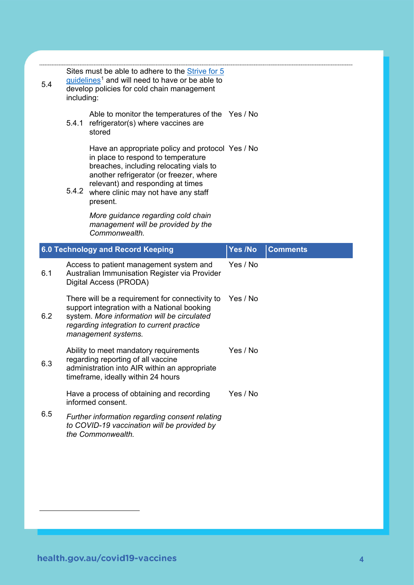| 5.4 | including: | Sites must be able to adhere to the Strive for 5<br>guidelines <sup>1</sup> and will need to have or be able to<br>develop policies for cold chain management                                                                                                        |          |                 |
|-----|------------|----------------------------------------------------------------------------------------------------------------------------------------------------------------------------------------------------------------------------------------------------------------------|----------|-----------------|
|     | 5.4.1      | Able to monitor the temperatures of the Yes / No<br>refrigerator(s) where vaccines are<br>stored                                                                                                                                                                     |          |                 |
|     | 5.4.2      | Have an appropriate policy and protocol Yes / No<br>in place to respond to temperature<br>breaches, including relocating vials to<br>another refrigerator (or freezer, where<br>relevant) and responding at times<br>where clinic may not have any staff<br>present. |          |                 |
|     |            | More guidance regarding cold chain<br>management will be provided by the<br>Commonwealth.                                                                                                                                                                            |          |                 |
|     |            | 6.0 Technology and Record Keeping                                                                                                                                                                                                                                    | Yes /No  | <b>Comments</b> |
| 6.1 |            | Access to patient management system and<br>Australian Immunisation Register via Provider<br>Digital Access (PRODA)                                                                                                                                                   | Yes / No |                 |
| 6.2 |            | There will be a requirement for connectivity to<br>support integration with a National booking<br>system. More information will be circulated<br>regarding integration to current practice<br>management systems.                                                    | Yes / No |                 |
| 6.3 |            | Ability to meet mandatory requirements<br>regarding reporting of all vaccine<br>administration into AIR within an appropriate<br>timeframe, ideally within 24 hours                                                                                                  | Yes / No |                 |
|     |            | Have a process of obtaining and recording<br>informed consent.                                                                                                                                                                                                       | Yes / No |                 |
|     |            |                                                                                                                                                                                                                                                                      |          |                 |

<span id="page-3-0"></span> $\overline{a}$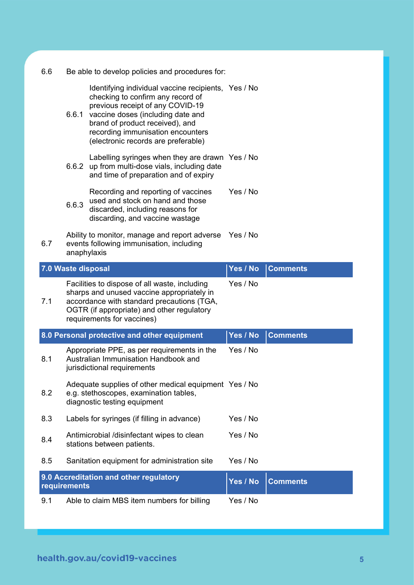| 6.6 |                                                                                                                                                                                                                       | Be able to develop policies and procedures for:                                                                                                                                                                                                                                  |          |                 |
|-----|-----------------------------------------------------------------------------------------------------------------------------------------------------------------------------------------------------------------------|----------------------------------------------------------------------------------------------------------------------------------------------------------------------------------------------------------------------------------------------------------------------------------|----------|-----------------|
|     | 6.6.1                                                                                                                                                                                                                 | Identifying individual vaccine recipients, Yes / No<br>checking to confirm any record of<br>previous receipt of any COVID-19<br>vaccine doses (including date and<br>brand of product received), and<br>recording immunisation encounters<br>(electronic records are preferable) |          |                 |
|     |                                                                                                                                                                                                                       | Labelling syringes when they are drawn Yes / No<br>6.6.2 up from multi-dose vials, including date<br>and time of preparation and of expiry                                                                                                                                       |          |                 |
|     | 6.6.3                                                                                                                                                                                                                 | Recording and reporting of vaccines<br>used and stock on hand and those<br>discarded, including reasons for<br>discarding, and vaccine wastage                                                                                                                                   | Yes / No |                 |
| 6.7 | anaphylaxis                                                                                                                                                                                                           | Ability to monitor, manage and report adverse<br>events following immunisation, including                                                                                                                                                                                        | Yes / No |                 |
|     | 7.0 Waste disposal                                                                                                                                                                                                    |                                                                                                                                                                                                                                                                                  | Yes / No | <b>Comments</b> |
| 7.1 | Facilities to dispose of all waste, including<br>sharps and unused vaccine appropriately in<br>accordance with standard precautions (TGA,<br>OGTR (if appropriate) and other regulatory<br>requirements for vaccines) |                                                                                                                                                                                                                                                                                  | Yes / No |                 |
|     | 8.0 Personal protective and other equipment                                                                                                                                                                           |                                                                                                                                                                                                                                                                                  | Yes / No | <b>Comments</b> |
| 8.1 |                                                                                                                                                                                                                       | Appropriate PPE, as per requirements in the<br>Australian Immunisation Handbook and<br>jurisdictional requirements                                                                                                                                                               | Yes / No |                 |
| 8.2 | Adequate supplies of other medical equipment Yes / No<br>e.g. stethoscopes, examination tables,<br>diagnostic testing equipment                                                                                       |                                                                                                                                                                                                                                                                                  |          |                 |
| 8.3 |                                                                                                                                                                                                                       | Labels for syringes (if filling in advance)                                                                                                                                                                                                                                      | Yes / No |                 |
| 8.4 |                                                                                                                                                                                                                       | Antimicrobial /disinfectant wipes to clean<br>stations between patients.                                                                                                                                                                                                         | Yes / No |                 |
| 8.5 |                                                                                                                                                                                                                       | Sanitation equipment for administration site                                                                                                                                                                                                                                     | Yes / No |                 |
|     | requirements                                                                                                                                                                                                          | 9.0 Accreditation and other regulatory                                                                                                                                                                                                                                           | Yes / No | <b>Comments</b> |
| 9.1 |                                                                                                                                                                                                                       | Able to claim MBS item numbers for billing                                                                                                                                                                                                                                       | Yes / No |                 |
|     |                                                                                                                                                                                                                       |                                                                                                                                                                                                                                                                                  |          |                 |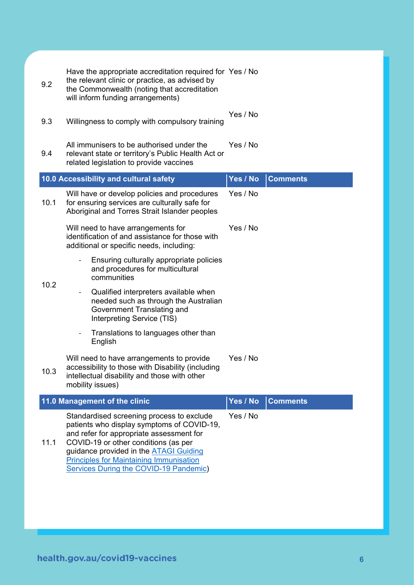| 9.2  | Have the appropriate accreditation required for Yes / No<br>the relevant clinic or practice, as advised by<br>the Commonwealth (noting that accreditation<br>will inform funding arrangements)                                                                                                                                  |          |                 |
|------|---------------------------------------------------------------------------------------------------------------------------------------------------------------------------------------------------------------------------------------------------------------------------------------------------------------------------------|----------|-----------------|
| 9.3  | Yes / No<br>Willingness to comply with compulsory training                                                                                                                                                                                                                                                                      |          |                 |
| 9.4  | All immunisers to be authorised under the<br>relevant state or territory's Public Health Act or<br>related legislation to provide vaccines                                                                                                                                                                                      | Yes / No |                 |
|      | 10.0 Accessibility and cultural safety                                                                                                                                                                                                                                                                                          | Yes / No | <b>Comments</b> |
| 10.1 | Will have or develop policies and procedures<br>for ensuring services are culturally safe for<br>Aboriginal and Torres Strait Islander peoples                                                                                                                                                                                  | Yes / No |                 |
|      | Will need to have arrangements for<br>identification of and assistance for those with<br>additional or specific needs, including:                                                                                                                                                                                               | Yes / No |                 |
| 10.2 | Ensuring culturally appropriate policies<br>and procedures for multicultural<br>communities                                                                                                                                                                                                                                     |          |                 |
|      | Qualified interpreters available when<br>needed such as through the Australian<br>Government Translating and<br>Interpreting Service (TIS)                                                                                                                                                                                      |          |                 |
|      | Translations to languages other than<br>English                                                                                                                                                                                                                                                                                 |          |                 |
| 10.3 | Will need to have arrangements to provide<br>accessibility to those with Disability (including<br>intellectual disability and those with other<br>mobility issues)                                                                                                                                                              | Yes / No |                 |
|      | 11.0 Management of the clinic                                                                                                                                                                                                                                                                                                   | Yes / No | <b>Comments</b> |
| 11.1 | Standardised screening process to exclude<br>patients who display symptoms of COVID-19,<br>and refer for appropriate assessment for<br>COVID-19 or other conditions (as per<br>guidance provided in the <b>ATAGI Guiding</b><br><b>Principles for Maintaining Immunisation</b><br><b>Services During the COVID-19 Pandemic)</b> | Yes / No |                 |
|      |                                                                                                                                                                                                                                                                                                                                 |          |                 |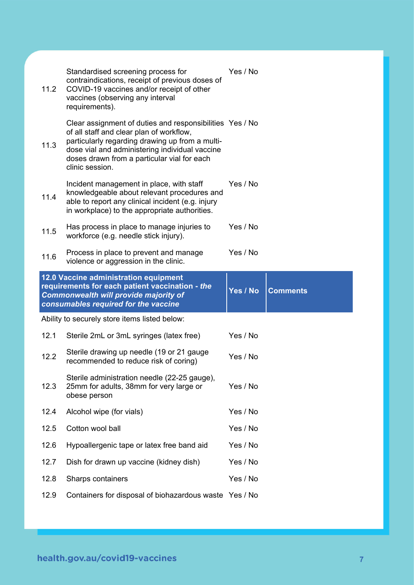| 11.2         | Standardised screening process for<br>contraindications, receipt of previous doses of<br>COVID-19 vaccines and/or receipt of other<br>vaccines (observing any interval<br>requirements).                                                                                    | Yes / No |                 |
|--------------|-----------------------------------------------------------------------------------------------------------------------------------------------------------------------------------------------------------------------------------------------------------------------------|----------|-----------------|
| 11.3         | Clear assignment of duties and responsibilities Yes / No<br>of all staff and clear plan of workflow,<br>particularly regarding drawing up from a multi-<br>dose vial and administering individual vaccine<br>doses drawn from a particular vial for each<br>clinic session. |          |                 |
| 11.4         | Incident management in place, with staff<br>knowledgeable about relevant procedures and<br>able to report any clinical incident (e.g. injury<br>in workplace) to the appropriate authorities.                                                                               | Yes / No |                 |
| 11.5         | Has process in place to manage injuries to<br>workforce (e.g. needle stick injury).                                                                                                                                                                                         | Yes / No |                 |
| 11.6         | Process in place to prevent and manage<br>violence or aggression in the clinic.                                                                                                                                                                                             | Yes / No |                 |
|              |                                                                                                                                                                                                                                                                             |          |                 |
|              | 12.0 Vaccine administration equipment<br>requirements for each patient vaccination - the<br>Commonwealth will provide majority of<br>consumables required for the vaccine                                                                                                   | Yes / No | <b>Comments</b> |
|              | Ability to securely store items listed below:                                                                                                                                                                                                                               |          |                 |
|              | Sterile 2mL or 3mL syringes (latex free)                                                                                                                                                                                                                                    | Yes / No |                 |
| 12.2         | Sterile drawing up needle (19 or 21 gauge<br>recommended to reduce risk of coring)                                                                                                                                                                                          | Yes / No |                 |
| 12.1<br>12.3 | Sterile administration needle (22-25 gauge),<br>25mm for adults, 38mm for very large or<br>obese person                                                                                                                                                                     | Yes / No |                 |
| 12.4         | Alcohol wipe (for vials)                                                                                                                                                                                                                                                    | Yes / No |                 |
| 12.5         | Cotton wool ball                                                                                                                                                                                                                                                            | Yes / No |                 |
| 12.6         | Hypoallergenic tape or latex free band aid                                                                                                                                                                                                                                  | Yes / No |                 |
| 12.7         | Dish for drawn up vaccine (kidney dish)                                                                                                                                                                                                                                     | Yes / No |                 |
| 12.8         | Sharps containers                                                                                                                                                                                                                                                           | Yes / No |                 |
| 12.9         | Containers for disposal of biohazardous waste Yes / No                                                                                                                                                                                                                      |          |                 |